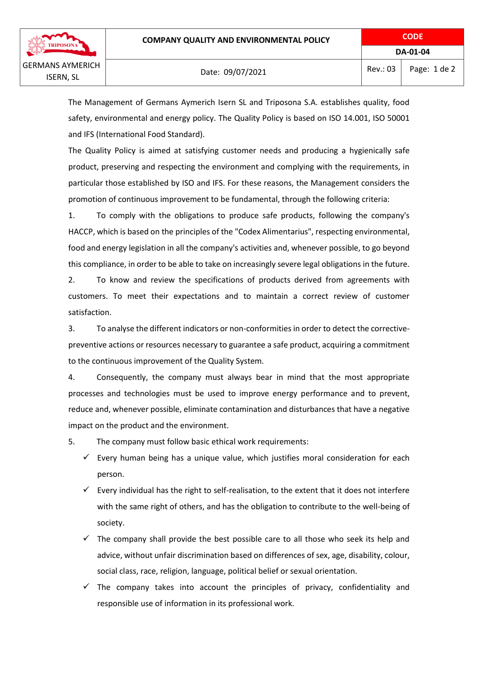

The Management of Germans Aymerich Isern SL and Triposona S.A. establishes quality, food safety, environmental and energy policy. The Quality Policy is based on ISO 14.001, ISO 50001 and IFS (International Food Standard).

The Quality Policy is aimed at satisfying customer needs and producing a hygienically safe product, preserving and respecting the environment and complying with the requirements, in particular those established by ISO and IFS. For these reasons, the Management considers the promotion of continuous improvement to be fundamental, through the following criteria:

1. To comply with the obligations to produce safe products, following the company's HACCP, which is based on the principles of the "Codex Alimentarius", respecting environmental, food and energy legislation in all the company's activities and, whenever possible, to go beyond this compliance, in order to be able to take on increasingly severe legal obligations in the future.

2. To know and review the specifications of products derived from agreements with customers. To meet their expectations and to maintain a correct review of customer satisfaction.

3. To analyse the different indicators or non-conformities in order to detect the correctivepreventive actions or resources necessary to guarantee a safe product, acquiring a commitment to the continuous improvement of the Quality System.

4. Consequently, the company must always bear in mind that the most appropriate processes and technologies must be used to improve energy performance and to prevent, reduce and, whenever possible, eliminate contamination and disturbances that have a negative impact on the product and the environment.

5. The company must follow basic ethical work requirements:

- $\checkmark$  Every human being has a unique value, which justifies moral consideration for each person.
- $\checkmark$  Every individual has the right to self-realisation, to the extent that it does not interfere with the same right of others, and has the obligation to contribute to the well-being of society.
- $\checkmark$  The company shall provide the best possible care to all those who seek its help and advice, without unfair discrimination based on differences of sex, age, disability, colour, social class, race, religion, language, political belief or sexual orientation.
- $\checkmark$  The company takes into account the principles of privacy, confidentiality and responsible use of information in its professional work.